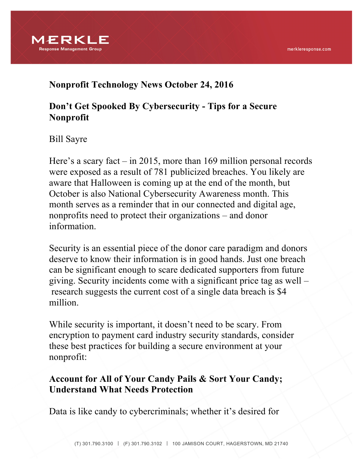

### **Nonprofit Technology News October 24, 2016**

## **Don't Get Spooked By Cybersecurity - Tips for a Secure Nonprofit**

Bill Sayre

Here's a scary fact – in 2015, more than 169 million personal records were exposed as a result of 781 publicized breaches. You likely are aware that Halloween is coming up at the end of the month, but October is also National Cybersecurity Awareness month. This month serves as a reminder that in our connected and digital age, nonprofits need to protect their organizations – and donor information.

Security is an essential piece of the donor care paradigm and donors deserve to know their information is in good hands. Just one breach can be significant enough to scare dedicated supporters from future giving. Security incidents come with a significant price tag as well – research suggests the current cost of a single data breach is \$4 million.

While security is important, it doesn't need to be scary. From encryption to payment card industry security standards, consider these best practices for building a secure environment at your nonprofit:

### **Account for All of Your Candy Pails & Sort Your Candy; Understand What Needs Protection**

Data is like candy to cybercriminals; whether it's desired for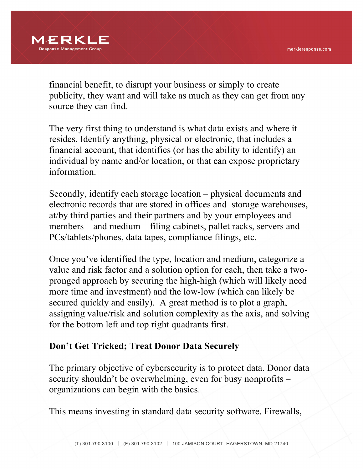

financial benefit, to disrupt your business or simply to create publicity, they want and will take as much as they can get from any source they can find.

The very first thing to understand is what data exists and where it resides. Identify anything, physical or electronic, that includes a financial account, that identifies (or has the ability to identify) an individual by name and/or location, or that can expose proprietary information.

Secondly, identify each storage location – physical documents and electronic records that are stored in offices and storage warehouses, at/by third parties and their partners and by your employees and members – and medium – filing cabinets, pallet racks, servers and PCs/tablets/phones, data tapes, compliance filings, etc.

Once you've identified the type, location and medium, categorize a value and risk factor and a solution option for each, then take a twopronged approach by securing the high-high (which will likely need more time and investment) and the low-low (which can likely be secured quickly and easily). A great method is to plot a graph, assigning value/risk and solution complexity as the axis, and solving for the bottom left and top right quadrants first.

## **Don't Get Tricked; Treat Donor Data Securely**

The primary objective of cybersecurity is to protect data. Donor data security shouldn't be overwhelming, even for busy nonprofits – organizations can begin with the basics.

This means investing in standard data security software. Firewalls,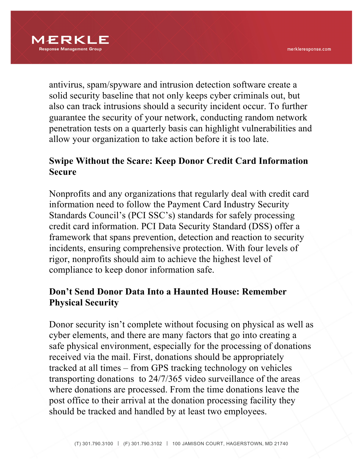

antivirus, spam/spyware and intrusion detection software create a solid security baseline that not only keeps cyber criminals out, but also can track intrusions should a security incident occur. To further guarantee the security of your network, conducting random network penetration tests on a quarterly basis can highlight vulnerabilities and allow your organization to take action before it is too late.

# **Swipe Without the Scare: Keep Donor Credit Card Information Secure**

Nonprofits and any organizations that regularly deal with credit card information need to follow the Payment Card Industry Security Standards Council's (PCI SSC's) standards for safely processing credit card information. PCI Data Security Standard (DSS) offer a framework that spans prevention, detection and reaction to security incidents, ensuring comprehensive protection. With four levels of rigor, nonprofits should aim to achieve the highest level of compliance to keep donor information safe.

## **Don't Send Donor Data Into a Haunted House: Remember Physical Security**

Donor security isn't complete without focusing on physical as well as cyber elements, and there are many factors that go into creating a safe physical environment, especially for the processing of donations received via the mail. First, donations should be appropriately tracked at all times – from GPS tracking technology on vehicles transporting donations to 24/7/365 video surveillance of the areas where donations are processed. From the time donations leave the post office to their arrival at the donation processing facility they should be tracked and handled by at least two employees.